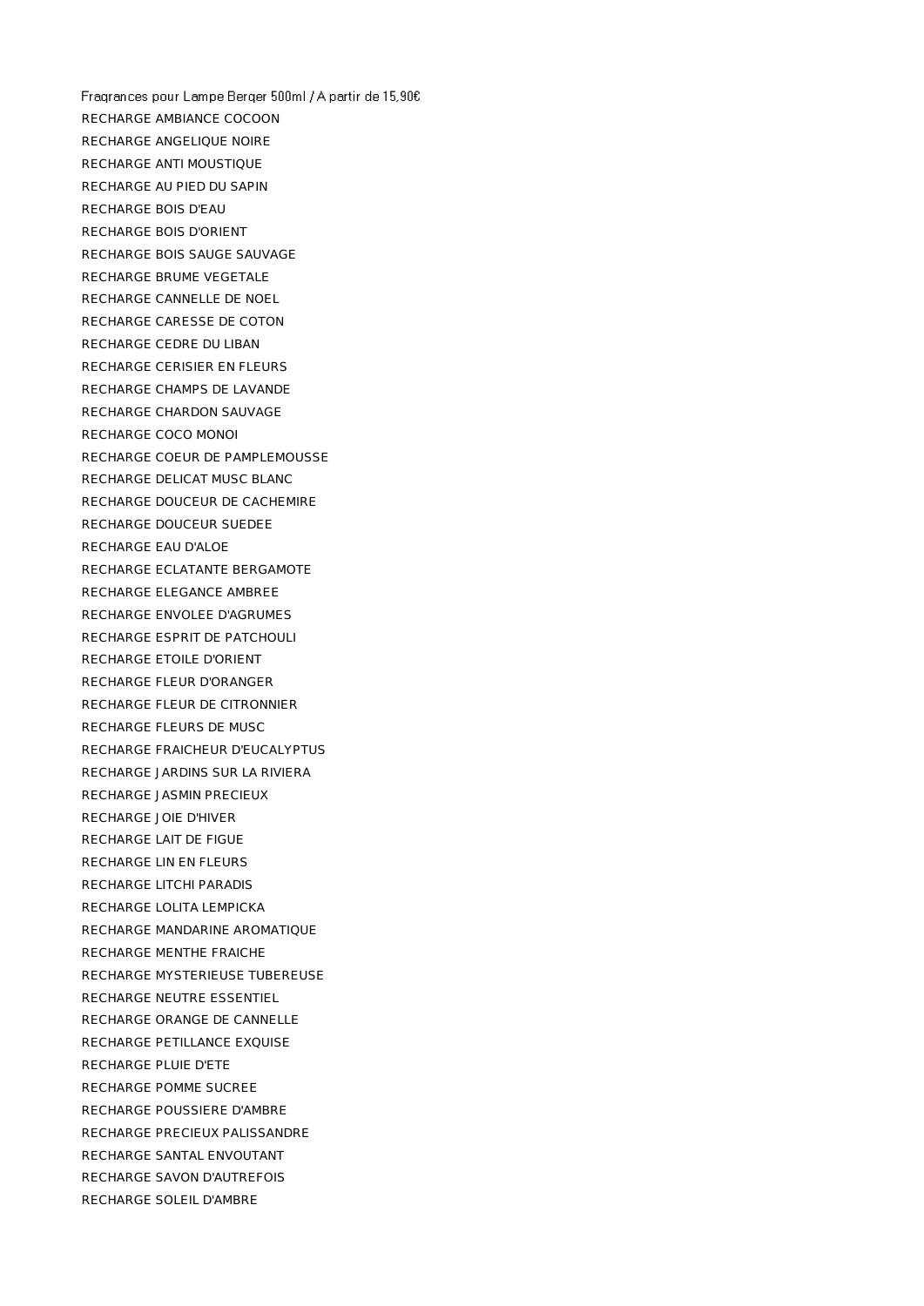Fragrances pour Lampe Berger 500ml / A partir de 15,90€ RECHARGE AMBIANCE COCOON RECHARGE ANGELIQUE NOIRE RECHARGE ANTI MOUSTIQUE RECHARGE AU PIED DU SAPIN RECHARGE BOIS D'EAU RECHARGE BOIS D'ORIENT RECHARGE BOIS SAUGE SAUVAGE RECHARGE BRUME VEGETALE RECHARGE CANNELLE DE NOEL RECHARGE CARESSE DE COTON RECHARGE CEDRE DU LIBAN RECHARGE CERISIER EN FLEURS RECHARGE CHAMPS DE LAVANDE RECHARGE CHARDON SAUVAGE RECHARGE COCO MONOI RECHARGE COEUR DE PAMPLEMOUSSE RECHARGE DELICAT MUSC BLANC RECHARGE DOUCEUR DE CACHEMIRE RECHARGE DOUCEUR SUEDEE RECHARGE EAU D'ALOE RECHARGE ECLATANTE BERGAMOTE RECHARGE ELEGANCE AMBREE RECHARGE ENVOLEE D'AGRUMES RECHARGE ESPRIT DE PATCHOULI RECHARGE ETOILE D'ORIENT RECHARGE FLEUR D'ORANGER RECHARGE FLEUR DE CITRONNIER RECHARGE FLEURS DE MUSC RECHARGE FRAICHEUR D'EUCALYPTUS RECHARGE JARDINS SUR LA RIVIERA RECHARGE JASMIN PRECIEUX RECHARGE JOIE D'HIVER RECHARGE LAIT DE FIGUE RECHARGE LIN EN FLEURS RECHARGE LITCHI PARADIS RECHARGE LOLITA LEMPICKA RECHARGE MANDARINE AROMATIQUE RECHARGE MENTHE FRAICHE RECHARGE MYSTERIEUSE TUBEREUSE RECHARGE NEUTRE ESSENTIEL RECHARGE ORANGE DE CANNELLE RECHARGE PETILLANCE EXQUISE RECHARGE PLUIE D'ETE RECHARGE POMME SUCREE RECHARGE POUSSIERE D'AMBRE RECHARGE PRECIEUX PALISSANDRE RECHARGE SANTAL ENVOUTANT RECHARGE SAVON D'AUTREFOIS RECHARGE SOLEIL D'AMBRE